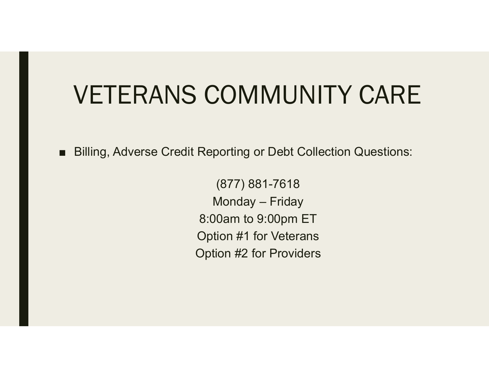## VETERANS COMMUNITY CARE

■ Billing, Adverse Credit Reporting or Debt Collection Questions:

(877) 881-7618 Monday – Friday 8:00am to 9:00pm ET Option #1 for Veterans Option #2 for Providers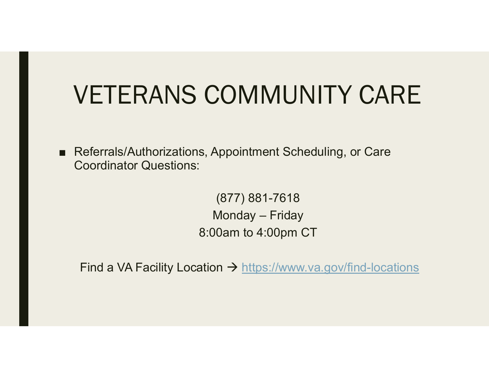## VETERANS COMMUNITY CARE

■ Referrals/Authorizations, Appointment Scheduling, or Care Coordinator Questions:

> (877) 881-7618 Monday – Friday 8:00am to 4:00pm CT

Find a VA Facility Location → <u>https://www.va.gov/find-locations</u>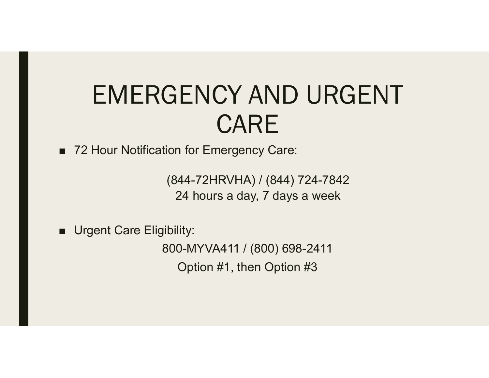## EMERGENCY AND URGENT CARE

■ 72 Hour Notification for Emergency Care:

(844-72HRVHA) / (844) 724-7842 24 hours a day, 7 days a week

■ Urgent Care Eligibility:

800-MYVA411 / (800) 698-2411 Option #1, then Option #3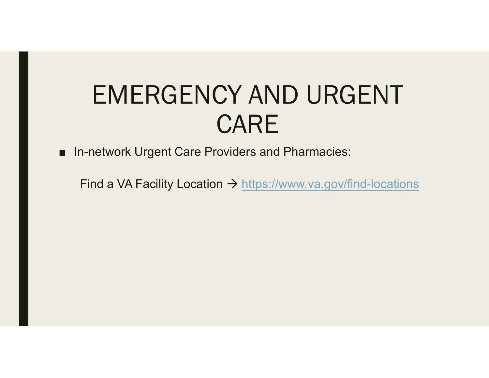## EMERGENCY AND URGENT CARE

■ In-network Urgent Care Providers and Pharmacies:

Find a VA Facility Location → <u>https://www.va.gov/find-locations</u>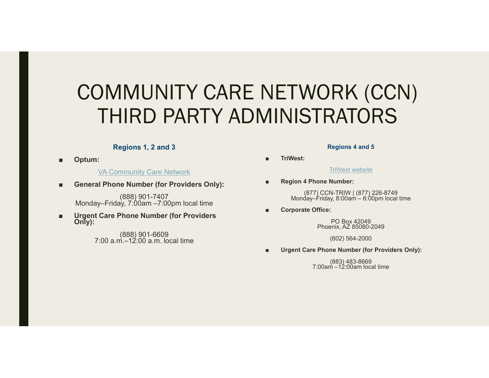### COMMUNITY CARE NETWORK (CCN) THIRD PARTY ADMINISTRATORS

#### **Regions 1, 2 and 3**

■**Optum:**

VA Community Care Network

■**General Phone Number (for Providers Only):**

(888) 901-7407 Monday–Friday, 7:00am –7:00pm local time

■**Urgent Care Phone Number (for Providers Only):**

(888) 901-6609 7:00 a.m.–12:00 a.m. local time

#### **Regions 4 and 5**

**TriWest:**

TriWest website

■**Region 4 Phone Number:**

(877) CCN-TRIW | (877) 226-8749 Monday–Friday, 8:00am – 6:00pm local time

**Corporate Office:**

PO Box 42049Phoenix, AZ 85080-2049

(602) 564-2000

■**Urgent Care Phone Number (for Providers Only):**

(883) 483-8669 7:00am –12:00am local time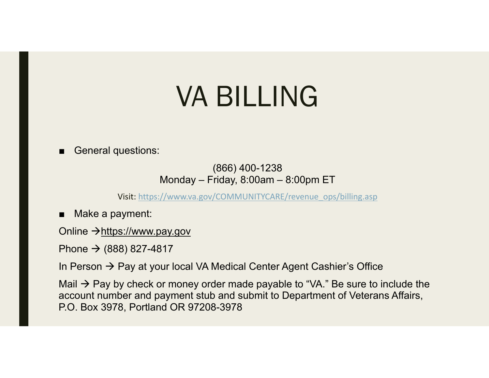# VA BILLING

General questions:

(866) 400-1238 Monday – Friday, 8:00am – 8:00pm ET

Visit: https://www.va.gov/COMMUNITYCARE/revenue\_ops/billing.asp

■ Make a payment:

Online →https://www.pay.gov

Phone → (888) 827-4817

In Person  $\rightarrow$  Pay at your local VA Medical Center Agent Cashier's Office

Mail  $\rightarrow$  Pay by check or money order made payable to "VA." Be sure to include the account number and payment stub and submit to Department of Veterans Affairs, P.O. Box 3978, Portland OR 97208-3978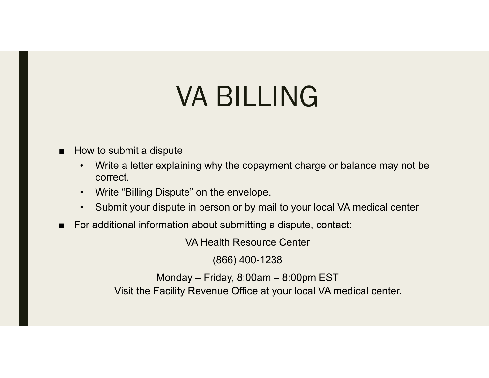# VA BILLING

### How to submit a dispute

- $\bullet$  Write a letter explaining why the copayment charge or balance may not be correct.
- $\bullet$ Write "Billing Dispute" on the envelope.
- •Submit your dispute in person or by mail to your local VA medical center
- For additional information about submitting a dispute, contact:

VA Health Resource Center

(866) 400-1238

Monday – Friday, 8:00am – 8:00pm EST Visit the Facility Revenue Office at your local VA medical center.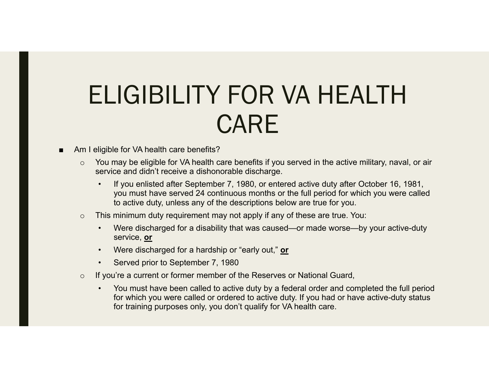## ELIGIBILITY FOR VA HEALTH CARE

- Am I eligible for VA health care benefits?
	- oYou may be eligible for VA health care benefits if you served in the active military, naval, or air service and didn't receive a dishonorable discharge.
		- • If you enlisted after September 7, 1980, or entered active duty after October 16, 1981, you must have served 24 continuous months or the full period for which you were called to active duty, unless any of the descriptions below are true for you.
	- o This minimum duty requirement may not apply if any of these are true. You:
		- • Were discharged for a disability that was caused—or made worse—by your active-duty service, **or**
		- •Were discharged for a hardship or "early out," **or**
		- •Served prior to September 7, 1980
	- o If you're a current or former member of the Reserves or National Guard,
		- • You must have been called to active duty by a federal order and completed the full period for which you were called or ordered to active duty. If you had or have active-duty status for training purposes only, you don't qualify for VA health care.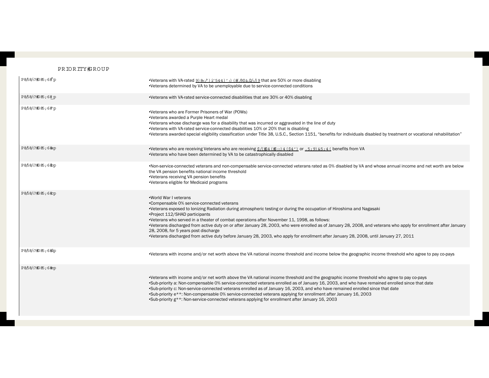#### PRIORITY#ROUP

| P858. 2#285;6#p   | •Veterans with VA-rated $9)$ 8 ( $\prime$ ) i' 544)' :) (# $/95\&/2$ . 9 that are 50% or more disabling<br>•Veterans determined by VA to be unemployable due to service-connected conditions                                                                                                                                                                                                                                                                                                                                                                                                                                                                                         |
|-------------------|--------------------------------------------------------------------------------------------------------------------------------------------------------------------------------------------------------------------------------------------------------------------------------------------------------------------------------------------------------------------------------------------------------------------------------------------------------------------------------------------------------------------------------------------------------------------------------------------------------------------------------------------------------------------------------------|
| P8/58/:?#385;6#p  | •Veterans with VA-rated service-connected disabilities that are 30% or 40% disabling                                                                                                                                                                                                                                                                                                                                                                                                                                                                                                                                                                                                 |
| P8/58/:?#B5;6#p   | •Veterans who are Former Prisoners of War (POWs)<br>•Veterans awarded a Purple Heart medal<br>•Veterans whose discharge was for a disability that was incurred or aggravated in the line of duty<br>•Veterans with VA-rated service-connected disabilities 10% or 20% that is disabling<br>•Veterans awarded special eligibility classification under Title 38, U.S.C., Section 1151, "benefits for individuals disabled by treatment or vocational rehabilitation"                                                                                                                                                                                                                  |
| P8/58/:?#385;6#ap | •Veterans who are receiving Veterans who are receiving $\frac{S}{k+1}$ (#2 (#:) 4 (\$4') or . 5; 9) & 5; 4 ( benefits from VA<br>•Veterans who have been determined by VA to be catastrophically disabled                                                                                                                                                                                                                                                                                                                                                                                                                                                                            |
| P8/58/:?#385;6#pp | •Non-service-connected veterans and non-compensable service-connected veterans rated as 0% disabled by VA and whose annual income and net worth are below<br>the VA pension benefits national income threshold<br>•Veterans receiving VA pension benefits<br>•Veterans eligible for Medicaid programs                                                                                                                                                                                                                                                                                                                                                                                |
| P8/58/:?#85;6#pp  | .World War I veterans<br>•Compensable 0% service-connected veterans<br>•Veterans exposed to lonizing Radiation during atmospheric testing or during the occupation of Hiroshima and Nagasaki<br>•Project 112/SHAD participants<br>•Veterans who served in a theater of combat operations after November 11, 1998, as follows:<br>•Veterans discharged from active duty on or after January 28, 2003, who were enrolled as of January 28, 2008, and veterans who apply for enrollment after January<br>28, 2008, for 5 years post discharge<br>•Veterans discharged from active duty before January 28, 2003, who apply for enrollment after January 28, 2008, until January 27, 2011 |
| P8/58/:?#385;6#dp | •Veterans with income and/or net worth above the VA national income threshold and income below the geographic income threshold who agree to pay co-pays                                                                                                                                                                                                                                                                                                                                                                                                                                                                                                                              |
| P8/58/:?#385;6#pp | •Veterans with income and/or net worth above the VA national income threshold and the geographic income threshold who agree to pay co-pays<br>•Sub-priority a: Non-compensable 0% service-connected veterans enrolled as of January 16, 2003, and who have remained enrolled since that date<br>.Sub-priority c: Non-service-connected veterans enrolled as of January 16, 2003, and who have remained enrolled since that date<br>•Sub-priority e**: Non-compensable 0% service-connected veterans applying for enrollment after January 16, 2003<br>•Sub-priority g**: Non-service-connected veterans applying for enrollment after January 16, 2003                               |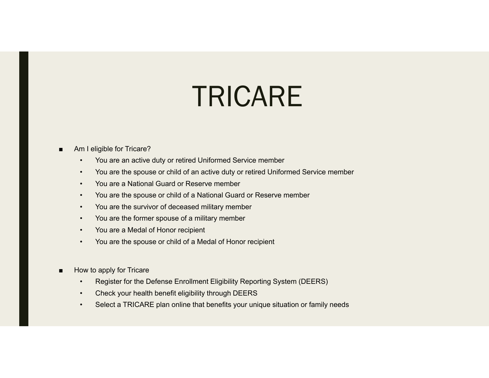# TRICARE

#### Am I eligible for Tricare?

- •You are an active duty or retired Uniformed Service member
- •You are the spouse or child of an active duty or retired Uniformed Service member
- •You are a National Guard or Reserve member
- •You are the spouse or child of a National Guard or Reserve member
- •You are the survivor of deceased military member
- •You are the former spouse of a military member
- •You are a Medal of Honor recipient
- •You are the spouse or child of a Medal of Honor recipient
- ■ How to apply for Tricare
	- •Register for the Defense Enrollment Eligibility Reporting System (DEERS)
	- •Check your health benefit eligibility through DEERS
	- •Select a TRICARE plan online that benefits your unique situation or family needs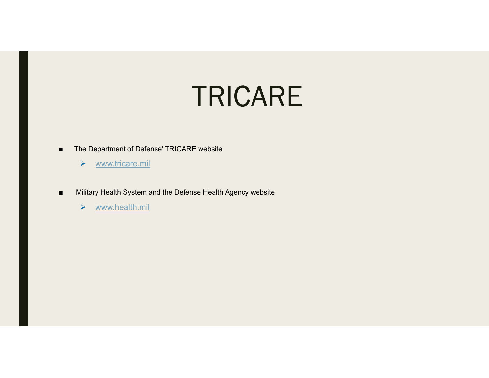## TRICARE

- ■ The Department of Defense' TRICARE website
	- $\blacktriangleright$ www.tricare.mil
- ■ Military Health System and the Defense Health Agency website
	- $\blacktriangleright$ www.health.mil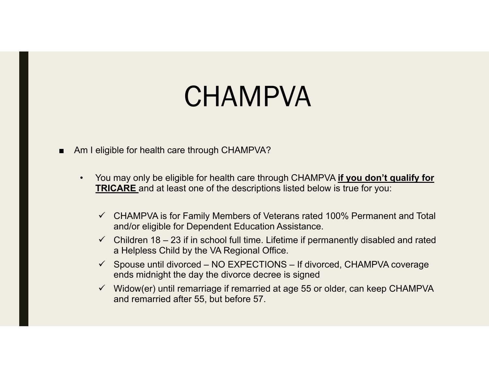# **CHAMPVA**

- Am I eligible for health care through CHAMPVA?
	- $\bullet$  You may only be eligible for health care through CHAMPVA **if you don't qualify for TRICARE** and at least one of the descriptions listed below is true for you:
		- $\checkmark$  CHAMPVA is for Family Members of Veterans rated 100% Permanent and Total and/or eligible for Dependent Education Assistance.
		- $\checkmark$  Children 18 23 if in school full time. Lifetime if permanently disabled and rated a Helpless Child by the VA Regional Office.
		- $\checkmark$  Spouse until divorced NO EXPECTIONS If divorced, CHAMPVA coverage ends midnight the day the divorce decree is signed
		- $\checkmark$  Widow(er) until remarriage if remarried at age 55 or older, can keep CHAMPVA and remarried after 55, but before 57.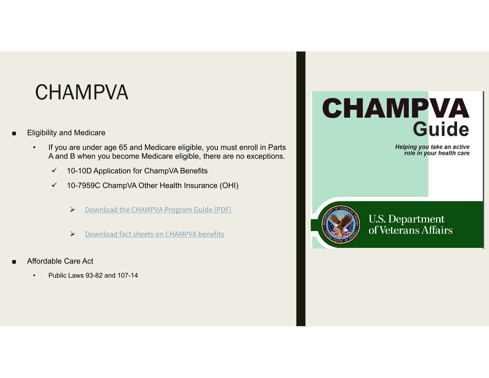### **CHAMPVA**

- ■ Eligibility and Medicare
	- • If you are under age 65 and Medicare eligible, you must enroll in Parts A and B when you become Medicare eligible, there are no exceptions.
		- $\checkmark$ 10-10D Application for ChampVA Benefits
		- $\checkmark$  10-7959C ChampVA Other Health Insurance (OHI)
			- $\blacktriangleright$ Download the CHAMPVA Program Guide (PDF)
			- $\blacktriangleright$ Download fact sheets on CHAMPVA benefits
- ■ Affordable Care Act
	- •Public Laws 93-82 and 107-14

### **CHAMPVA Guide**

Helping you take an active<br>role in your health care



**U.S. Department** of Veterans Affairs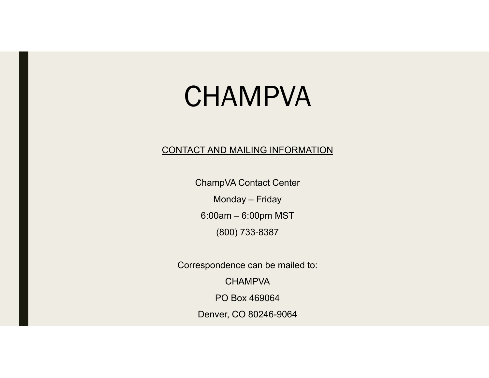# **CHAMPVA**

### CONTACT AND MAILING INFORMATION

ChampVA Contact Center

Monday – Friday

6:00am – 6:00pm MST

(800) 733-8387

Correspondence can be mailed to: **CHAMPVA** PO Box 469064

Denver, CO 80246-9064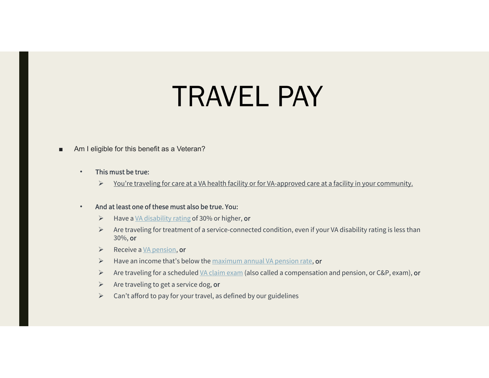# TRAVEL PAY

■Am I eligible for this benefit as a Veteran?

#### •This must be true:

 $\blacktriangleright$ You're traveling for care at a VA health facility or for VA-approved care at a facility in your community.

#### •And at least one of these must also be true. You:

- $\blacktriangleright$ Have a VA disability rating of 30% or higher, or
- $\triangleright$  Are traveling for treatment of a service-connected condition, even if your VA disability rating is less than 30%, or
- $\triangleright$  Receive a VA pension, or
- $\triangleright$  Have an income that's below the maximum annual VA pension rate, or
- $\triangleright$  Are traveling for a scheduled <u>VA claim exam</u> (also called a compensation and pension, or C&P, exam), **or**
- $\triangleright$  Are traveling to get a service dog, or
- $\triangleright$  Can't afford to pay for your travel, as defined by our guidelines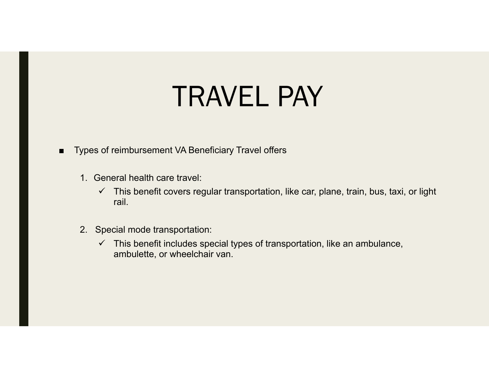# TRAVEL PAY

- ■ Types of reimbursement VA Beneficiary Travel offers
	- 1. General health care travel:
		- $\checkmark$  This benefit covers regular transportation, like car, plane, train, bus, taxi, or light rail.
	- 2. Special mode transportation:
		- $\checkmark$  This benefit includes special types of transportation, like an ambulance, ambulette, or wheelchair van.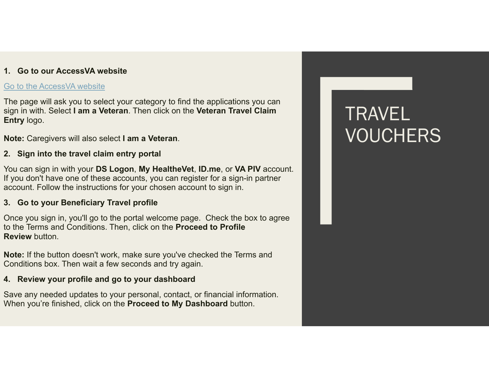### **1. Go to our AccessVA website**

#### Go to the AccessVA website

The page will ask you to select your category to find the applications you can sign in with. Select **I am a Veteran**. Then click on the **Veteran Travel Claim Entry** logo.

**Note:** Caregivers will also select **I am a Veteran**.

### **2. Sign into the travel claim entry portal**

You can sign in with your **DS Logon**, **My HealtheVet**, **ID.me**, or **VA PIV** account. If you don't have one of these accounts, you can register for a sign-in partner account. Follow the instructions for your chosen account to sign in.

### **3. Go to your Beneficiary Travel profile**

Once you sign in, you'll go to the portal welcome page. Check the box to agree to the Terms and Conditions. Then, click on the **Proceed to Profile Review** button.

**Note:** If the button doesn't work, make sure you've checked the Terms and Conditions box. Then wait a few seconds and try again.

### **4. Review your profile and go to your dashboard**

Save any needed updates to your personal, contact, or financial information. When you're finished, click on the **Proceed to My Dashboard** button.

### TRAVEL VOUCHERS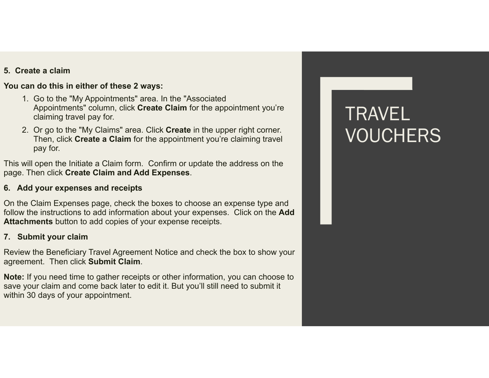### **5. Create a claim**

#### **You can do this in either of these 2 ways:**

- 1. Go to the "My Appointments" area. In the "Associated Appointments" column, click **Create Claim** for the appointment you're claiming travel pay for.
- 2. Or go to the "My Claims" area. Click **Create** in the upper right corner. Then, click **Create a Claim** for the appointment you're claiming travel pay for.

This will open the Initiate a Claim form. Confirm or update the address on the page. Then click **Create Claim and Add Expenses**.

#### **6. Add your expenses and receipts**

On the Claim Expenses page, check the boxes to choose an expense type and follow the instructions to add information about your expenses. Click on the **Add Attachments** button to add copies of your expense receipts.

#### **7. Submit your claim**

Review the Beneficiary Travel Agreement Notice and check the box to show your agreement. Then click **Submit Claim**.

**Note:** If you need time to gather receipts or other information, you can choose to save your claim and come back later to edit it. But you'll still need to submit it within 30 days of your appointment.

### TRAVEL VOUCHERS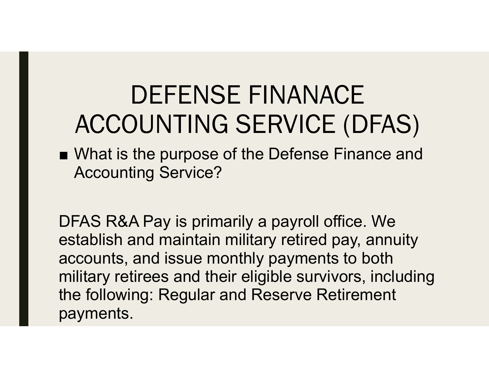## DEFENSE FINANACE ACCOUNTING SERVICE (DFAS)

■ What is the purpose of the Defense Finance and Accounting Service?

DFAS R&A Pay is primarily a payroll office. We establish and maintain military retired pay, annuity accounts, and issue monthly payments to both military retirees and their eligible survivors, including the following: Regular and Reserve Retirement payments.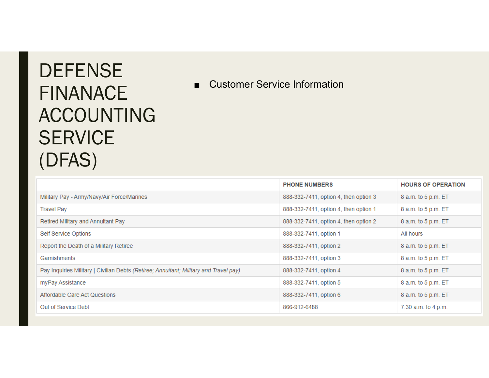### **DEFENSE** FINANACE ACCOUNTING **SERVICE** (DFAS)

■ Customer Service Information

|                                                                                       | <b>PHONE NUMBERS</b>                  | <b>HOURS OF OPERATION</b> |
|---------------------------------------------------------------------------------------|---------------------------------------|---------------------------|
| Military Pay - Army/Navy/Air Force/Marines                                            | 888-332-7411, option 4, then option 3 | 8 a.m. to 5 p.m. ET       |
| <b>Travel Pay</b>                                                                     | 888-332-7411, option 4, then option 1 | 8 a.m. to 5 p.m. ET       |
| Retired Military and Annuitant Pay                                                    | 888-332-7411, option 4, then option 2 | 8 a.m. to 5 p.m. ET       |
| Self Service Options                                                                  | 888-332-7411, option 1                | All hours                 |
| Report the Death of a Military Retiree                                                | 888-332-7411, option 2                | 8 a.m. to 5 p.m. ET       |
| Garnishments                                                                          | 888-332-7411, option 3                | 8 a.m. to 5 p.m. ET       |
| Pay Inquiries Military   Civilian Debts (Retiree; Annuitant; Military and Travel pay) | 888-332-7411, option 4                | 8 a.m. to 5 p.m. ET       |
| myPay Assistance                                                                      | 888-332-7411, option 5                | 8 a.m. to 5 p.m. ET       |
| Affordable Care Act Questions                                                         | 888-332-7411, option 6                | 8 a.m. to 5 p.m. ET       |
| Out of Service Debt                                                                   | 866-912-6488                          | 7:30 a.m. to 4 p.m.       |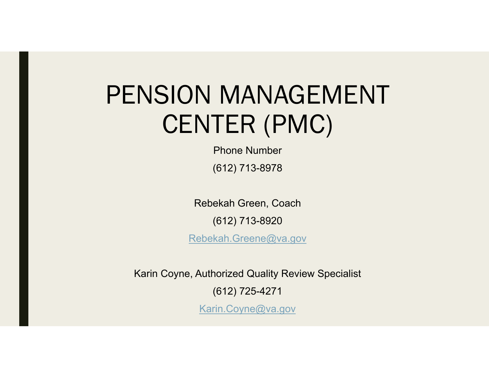## PENSION MANAGEMENT CENTER (PMC)

Phone Number(612) 713-8978

Rebekah Green, Coach

(612) 713-8920

Rebekah.Greene@va.gov

Karin Coyne, Authorized Quality Review Specialist

(612) 725-4271

Karin.Coyne@va.gov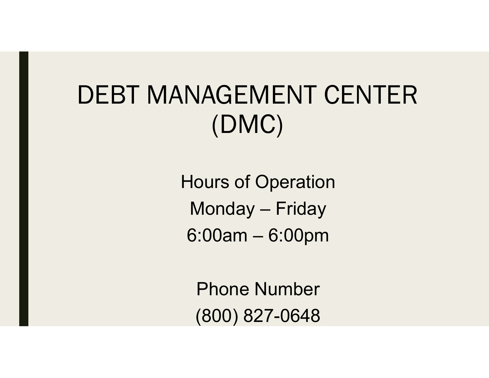## DEBT MANAGEMENT CENTER (DMC)

Hours of Operation Monday – Friday 6:00am – 6:00pm

Phone Number(800) 827-0648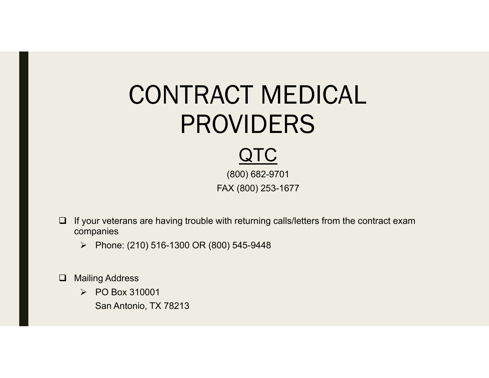## CONTRACT MEDICAL PROVIDERS

### QTC

(800) 682-9701 FAX (800) 253-1677

- $\Box$  If your veterans are having trouble with returning calls/letters from the contract exam companies
	- Phone: (210) 516-1300 OR (800) 545-9448
- $\Box$  Mailing Address
	- PO Box 310001
		- San Antonio, TX 78213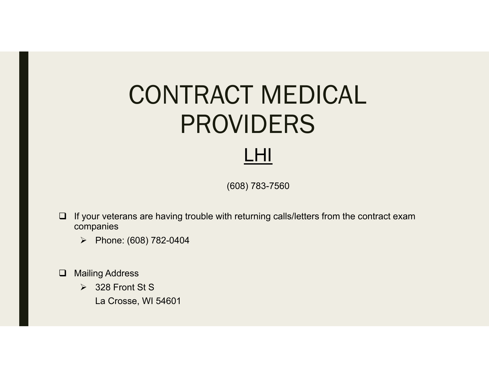## CONTRACT MEDICAL PROVIDERS LHI

(608) 783-7560

- $\Box$  If your veterans are having trouble with returning calls/letters from the contract exam companies
	- $\triangleright$  Phone: (608) 782-0404
- Mailing Address
	- 328 Front St S
		- La Crosse, WI 54601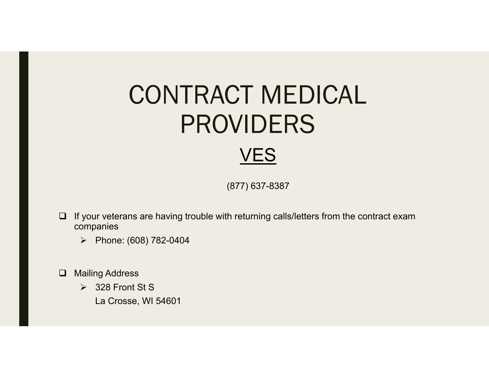## CONTRACT MEDICAL PROVIDERS VES

(877) 637-8387

- $\Box$  If your veterans are having trouble with returning calls/letters from the contract exam companies
	- $\triangleright$  Phone: (608) 782-0404
- Mailing Address
	- 328 Front St S
		- La Crosse, WI 54601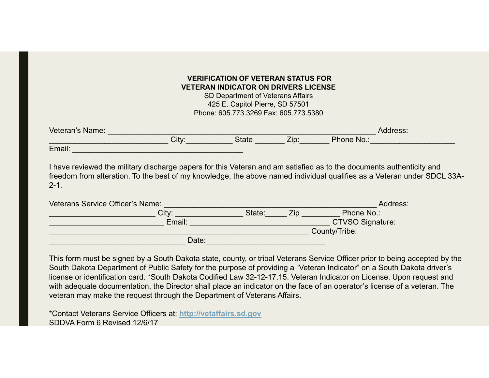### **VERIFICATION OF VETERAN STATUS FOR VETERAN INDICATOR ON DRIVERS LICENSE**

SD Department of Veterans Affairs 425 E. Capitol Pierre, SD 57501 Phone: 605.773.3269 Fax: 605.773.5380

| Veteran's Name: |       |              |              |            | Address: |
|-----------------|-------|--------------|--------------|------------|----------|
|                 | City: | <b>State</b> | 7in.<br>LID. | Phone No.: |          |
| Email:          |       |              |              |            |          |

I have reviewed the military discharge papers for this Veteran and am satisfied as to the documents authenticity and freedom from alteration. To the best of my knowledge, the above named individual qualifies as a Veteran under SDCL 33A-2-1.

| Veterans Service Officer's Name: |        |     | Address:                |
|----------------------------------|--------|-----|-------------------------|
| City:                            | State: | Zip | Phone No.:              |
| Email:                           |        |     | <b>CTVSO Signature:</b> |
|                                  |        |     | County/Tribe:           |
| Date:                            |        |     |                         |

This form must be signed by a South Dakota state, county, or tribal Veterans Service Officer prior to being accepted by the South Dakota Department of Public Safety for the purpose of providing a "Veteran Indicator" on a South Dakota driver's license or identification card. \*South Dakota Codified Law 32-12-17.15. Veteran Indicator on License. Upon request and with adequate documentation, the Director shall place an indicator on the face of an operator's license of a veteran. The veteran may make the request through the Department of Veterans Affairs.

\*Contact Veterans Service Officers at: **http://vetaffairs.sd.gov** SDDVA Form 6 Revised 12/6/17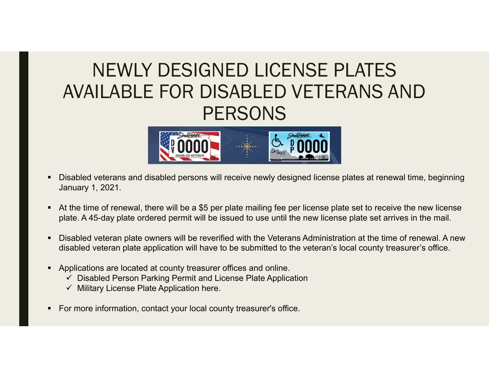### NEWLY DESIGNED LICENSE PLATES AVAILABLE FOR DISABLED VETERANS AND **PERSONS**



- $\blacksquare$  Disabled veterans and disabled persons will receive newly designed license plates at renewal time, beginning January 1, 2021.
- $\blacksquare$  At the time of renewal, there will be a \$5 per plate mailing fee per license plate set to receive the new license plate. A 45-day plate ordered permit will be issued to use until the new license plate set arrives in the mail.
- $\blacksquare$  Disabled veteran plate owners will be reverified with the Veterans Administration at the time of renewal. A new disabled veteran plate application will have to be submitted to the veteran's local county treasurer's office.
- ۲ Applications are located at county treasurer offices and online.
	- $\checkmark$  Disabled Person Parking Permit and License Plate Application
	- $\checkmark$  Military License Plate Application here.
- $\blacksquare$ For more information, contact your local county treasurer's office.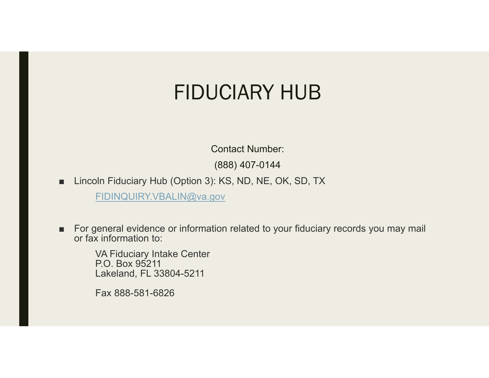### FIDUCIARY HUB

Contact Number:

(888) 407-0144

■Lincoln Fiduciary Hub (Option 3): KS, ND, NE, OK, SD, TX

FIDINQUIRY.VBALIN@va.gov

■ For general evidence or information related to your fiduciary records you may mail or fax information to:

VA Fiduciary Intake Center P.O. Box 95211Lakeland, FL 33804-5211

Fax 888-581-6826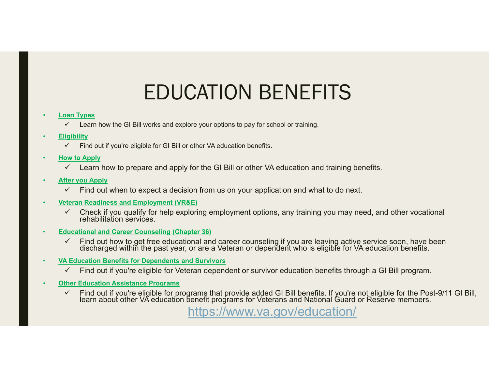### EDUCATION BENEFITS

#### **Loan Types**

 $\checkmark$ Learn how the GI Bill works and explore your options to pay for school or training.

#### •**Eligibility**

- $\checkmark$ Find out if you're eligible for GI Bill or other VA education benefits.
- • **How to Apply**
	- $\checkmark$  Learn how to prepare and apply for the GI Bill or other VA education and training benefits.

#### •**After you Apply**

- $\checkmark$ Find out when to expect a decision from us on your application and what to do next.
- **Veteran Readiness and Employment (VR&E)**
	- $\checkmark$ Check if you qualify for help exploring employment options, any training you may need, and other vocational rehabilitation services.
- **Educational and Career Counseling (Chapter 36)**
	- $\checkmark$ Find out how to get free educational and career counseling if you are leaving active service soon, have been discharged within the past year, or are a Veteran or dependent who is eligible for VA education benefits.
- • **VA Education Benefits for Dependents and Survivors**
	- $\checkmark$ Find out if you're eligible for Veteran dependent or survivor education benefits through a GI Bill program.
- **Other Education Assistance Programs**
	- $\checkmark$ Find out if you're eligible for programs that provide added GI Bill benefits. If you're not eligible for the Post-9/11 GI Bill, learn about other VA education benefit programs for Veterans and National Guard or Reserve mem

https://www.va.gov/education/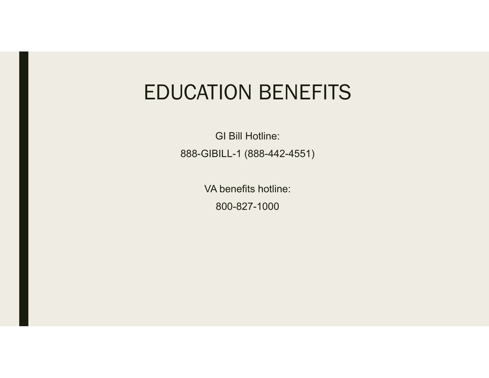### EDUCATION BENEFITS

GI Bill Hotline:888-GIBILL-1 (888-442-4551)

> VA benefits hotline:800-827-1000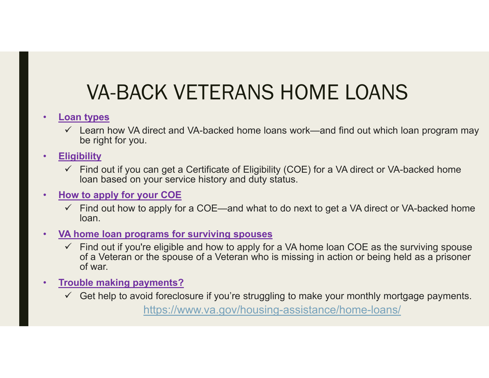### VA-BACK VETERANS HOME LOANS

#### •**Loan types**

- $\checkmark$  Learn how VA direct and VA-backed home loans work—and find out which loan program may be right for you.
- • **Eligibility**
	- $\checkmark$  Find out if you can get a Certificate of Eligibility (COE) for a VA direct or VA-backed home loan based on your service history and duty status.

#### •**How to apply for your COE**

- $\checkmark$  Find out how to apply for a COE—and what to do next to get a VA direct or VA-backed home loan.
- • **VA home loan programs for surviving spouses**
	- $\checkmark$  Find out if you're eligible and how to apply for a VA home loan COE as the surviving spouse of a Veteran or the spouse of a Veteran who is missing in action or being held as a prisoner of war.
- • **Trouble making payments?**
	- $\checkmark$  Get help to avoid foreclosure if you're struggling to make your monthly mortgage payments.

https://www.va.gov/housing-assistance/home-loans/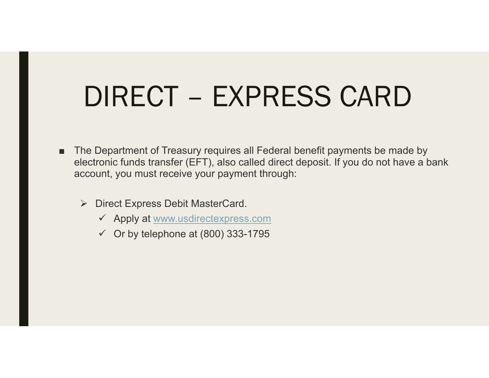# DIRECT – EXPRESS CARD

- ■ The Department of Treasury requires all Federal benefit payments be made by electronic funds transfer (EFT), also called direct deposit. If you do not have a bank account, you must receive your payment through:
	- **▶ Direct Express Debit MasterCard.** 
		- Apply at www.usdirectexpress.com
		- $\checkmark$  Or by telephone at (800) 333-1795